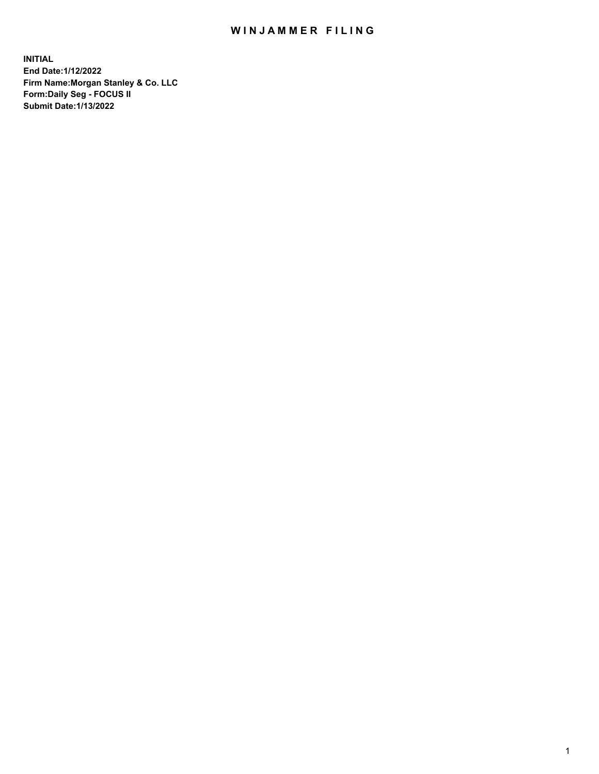## WIN JAMMER FILING

**INITIAL End Date:1/12/2022 Firm Name:Morgan Stanley & Co. LLC Form:Daily Seg - FOCUS II Submit Date:1/13/2022**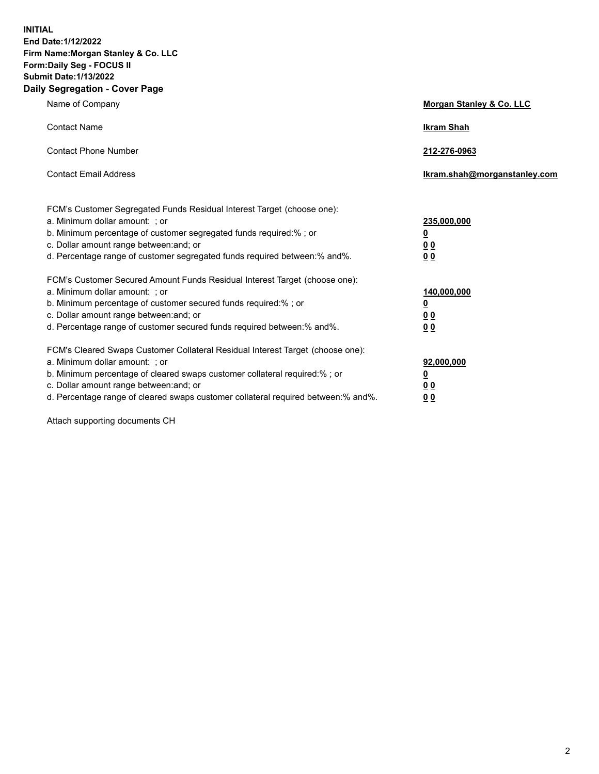**INITIAL End Date:1/12/2022 Firm Name:Morgan Stanley & Co. LLC Form:Daily Seg - FOCUS II Submit Date:1/13/2022 Daily Segregation - Cover Page**

| Name of Company                                                                                          | Morgan Stanley & Co. LLC     |
|----------------------------------------------------------------------------------------------------------|------------------------------|
| <b>Contact Name</b>                                                                                      | <b>Ikram Shah</b>            |
| <b>Contact Phone Number</b>                                                                              | 212-276-0963                 |
| <b>Contact Email Address</b>                                                                             | Ikram.shah@morganstanley.com |
|                                                                                                          |                              |
| FCM's Customer Segregated Funds Residual Interest Target (choose one):<br>a. Minimum dollar amount: ; or | 235,000,000                  |
| b. Minimum percentage of customer segregated funds required:% ; or                                       | <u>0</u>                     |
| c. Dollar amount range between: and; or                                                                  | <u>00</u>                    |
| d. Percentage range of customer segregated funds required between: % and %.                              | 0 Q                          |
| FCM's Customer Secured Amount Funds Residual Interest Target (choose one):                               |                              |
| a. Minimum dollar amount: ; or                                                                           | 140,000,000                  |
| b. Minimum percentage of customer secured funds required:%; or                                           | <u>0</u>                     |
| c. Dollar amount range between: and; or                                                                  | <u>00</u>                    |
| d. Percentage range of customer secured funds required between:% and%.                                   | 0 <sup>0</sup>               |
| FCM's Cleared Swaps Customer Collateral Residual Interest Target (choose one):                           |                              |
| a. Minimum dollar amount: ; or                                                                           | 92,000,000                   |
| b. Minimum percentage of cleared swaps customer collateral required:% ; or                               | <u>0</u>                     |
| c. Dollar amount range between: and; or                                                                  | <u>00</u>                    |
| d. Percentage range of cleared swaps customer collateral required between:% and%.                        | 0 <sub>0</sub>               |

Attach supporting documents CH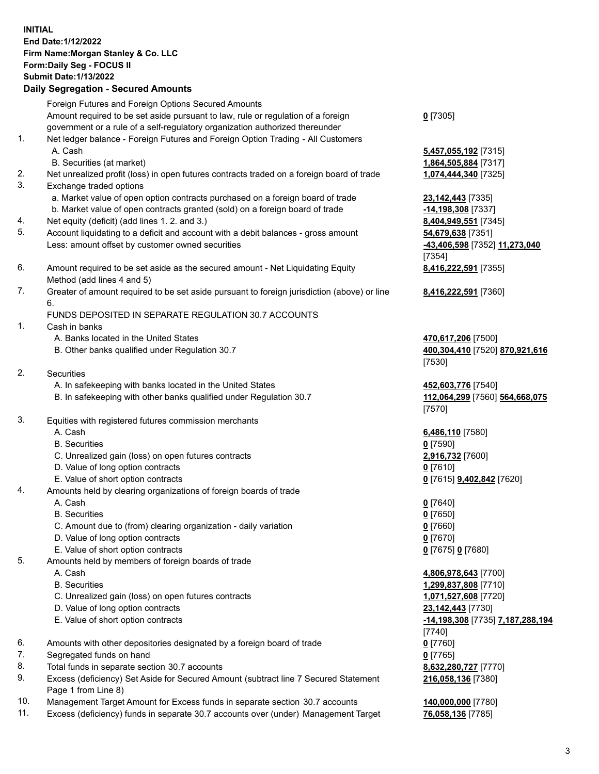## **INITIAL End Date:1/12/2022 Firm Name:Morgan Stanley & Co. LLC Form:Daily Seg - FOCUS II Submit Date:1/13/2022 Daily Segregation - Secured Amounts** Foreign Futures and Foreign Options Secured Amounts

Amount required to be set aside pursuant to law, rule or regulation of a foreign government or a rule of a self-regulatory organization authorized thereunder

- 1. Net ledger balance Foreign Futures and Foreign Option Trading All Customers A. Cash **5,457,055,192** [7315]
	- B. Securities (at market) **1,864,505,884** [7317]
- 2. Net unrealized profit (loss) in open futures contracts traded on a foreign board of trade **1,074,444,340** [7325]
- 3. Exchange traded options
	- a. Market value of open option contracts purchased on a foreign board of trade **23,142,443** [7335]
	- b. Market value of open contracts granted (sold) on a foreign board of trade **-14,198,308** [7337]
- 4. Net equity (deficit) (add lines 1. 2. and 3.) **8,404,949,551** [7345]
- 5. Account liquidating to a deficit and account with a debit balances gross amount **54,679,638** [7351] Less: amount offset by customer owned securities **-43,406,598** [7352] **11,273,040**
- 6. Amount required to be set aside as the secured amount Net Liquidating Equity Method (add lines 4 and 5)
- 7. Greater of amount required to be set aside pursuant to foreign jurisdiction (above) or line 6.

## FUNDS DEPOSITED IN SEPARATE REGULATION 30.7 ACCOUNTS

- 1. Cash in banks
	- A. Banks located in the United States **470,617,206** [7500]
	- B. Other banks qualified under Regulation 30.7 **400,304,410** [7520] **870,921,616**
- 2. Securities
	- A. In safekeeping with banks located in the United States **452,603,776** [7540]
	- B. In safekeeping with other banks qualified under Regulation 30.7 **112,064,299** [7560] **564,668,075**
- 3. Equities with registered futures commission merchants
	-
	- B. Securities **0** [7590]
	- C. Unrealized gain (loss) on open futures contracts **2,916,732** [7600]
	- D. Value of long option contracts **0** [7610]
	- E. Value of short option contracts **0** [7615] **9,402,842** [7620]
- 4. Amounts held by clearing organizations of foreign boards of trade
	- A. Cash **0** [7640]
	- B. Securities **0** [7650]
	- C. Amount due to (from) clearing organization daily variation **0** [7660]
	- D. Value of long option contracts **0** [7670]
	- E. Value of short option contracts **0** [7675] **0** [7680]
- 5. Amounts held by members of foreign boards of trade
	-
	-
	- C. Unrealized gain (loss) on open futures contracts **1,071,527,608** [7720]
	- D. Value of long option contracts **23,142,443** [7730]
	-
- 6. Amounts with other depositories designated by a foreign board of trade **0** [7760]
- 7. Segregated funds on hand **0** [7765]
- 8. Total funds in separate section 30.7 accounts **8,632,280,727** [7770]
- 9. Excess (deficiency) Set Aside for Secured Amount (subtract line 7 Secured Statement Page 1 from Line 8)
- 10. Management Target Amount for Excess funds in separate section 30.7 accounts **140,000,000** [7780]
- 11. Excess (deficiency) funds in separate 30.7 accounts over (under) Management Target **76,058,136** [7785]

[7354] **8,416,222,591** [7355]

**8,416,222,591** [7360]

[7530]

[7570]

A. Cash **6,486,110** [7580]

 A. Cash **4,806,978,643** [7700] B. Securities **1,299,837,808** [7710] E. Value of short option contracts **-14,198,308** [7735] **7,187,288,194** [7740] **216,058,136** [7380]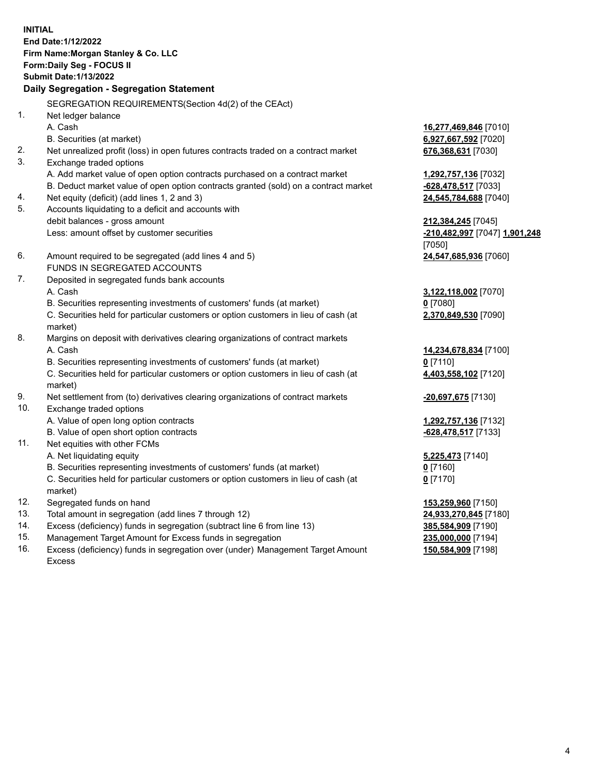**INITIAL End Date:1/12/2022 Firm Name:Morgan Stanley & Co. LLC Form:Daily Seg - FOCUS II Submit Date:1/13/2022 Daily Segregation - Segregation Statement** SEGREGATION REQUIREMENTS(Section 4d(2) of the CEAct) 1. Net ledger balance A. Cash **16,277,469,846** [7010] B. Securities (at market) **6,927,667,592** [7020] 2. Net unrealized profit (loss) in open futures contracts traded on a contract market **676,368,631** [7030] 3. Exchange traded options A. Add market value of open option contracts purchased on a contract market **1,292,757,136** [7032] B. Deduct market value of open option contracts granted (sold) on a contract market **-628,478,517** [7033] 4. Net equity (deficit) (add lines 1, 2 and 3) **24,545,784,688** [7040] 5. Accounts liquidating to a deficit and accounts with debit balances - gross amount **212,384,245** [7045] Less: amount offset by customer securities **-210,482,997** [7047] **1,901,248** [7050] 6. Amount required to be segregated (add lines 4 and 5) **24,547,685,936** [7060] FUNDS IN SEGREGATED ACCOUNTS 7. Deposited in segregated funds bank accounts A. Cash **3,122,118,002** [7070] B. Securities representing investments of customers' funds (at market) **0** [7080] C. Securities held for particular customers or option customers in lieu of cash (at market) **2,370,849,530** [7090] 8. Margins on deposit with derivatives clearing organizations of contract markets A. Cash **14,234,678,834** [7100] B. Securities representing investments of customers' funds (at market) **0** [7110] C. Securities held for particular customers or option customers in lieu of cash (at market) **4,403,558,102** [7120] 9. Net settlement from (to) derivatives clearing organizations of contract markets **-20,697,675** [7130] 10. Exchange traded options A. Value of open long option contracts **1,292,757,136** [7132] B. Value of open short option contracts **-628,478,517** [7133] 11. Net equities with other FCMs A. Net liquidating equity **5,225,473** [7140] B. Securities representing investments of customers' funds (at market) **0** [7160] C. Securities held for particular customers or option customers in lieu of cash (at market) **0** [7170] 12. Segregated funds on hand **153,259,960** [7150] 13. Total amount in segregation (add lines 7 through 12) **24,933,270,845** [7180] 14. Excess (deficiency) funds in segregation (subtract line 6 from line 13) **385,584,909** [7190] 15. Management Target Amount for Excess funds in segregation **235,000,000** [7194]

16. Excess (deficiency) funds in segregation over (under) Management Target Amount Excess

**150,584,909** [7198]